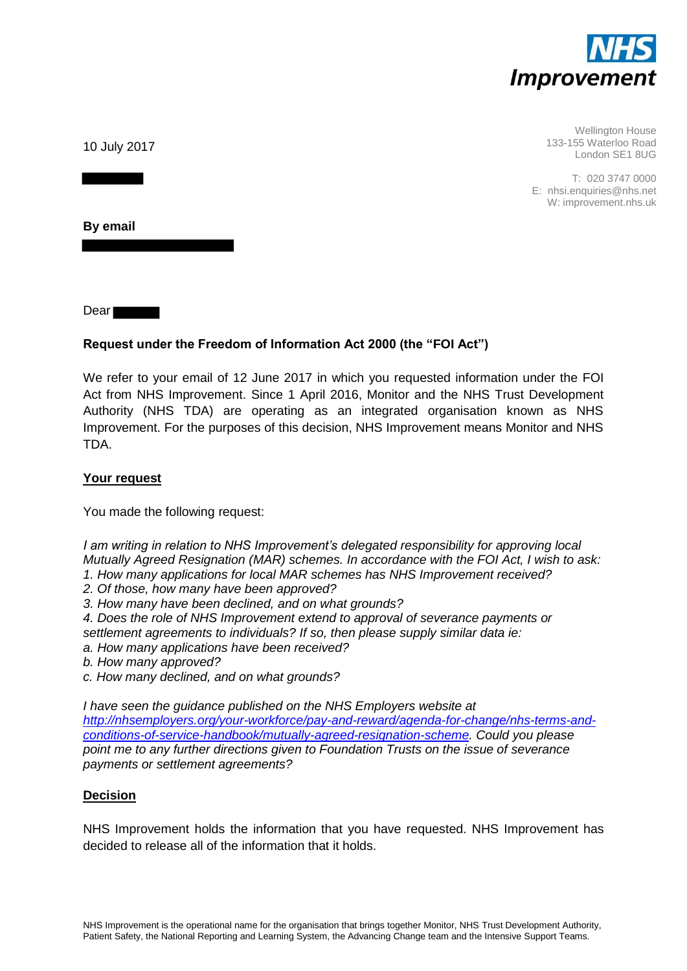

Wellington House 133-155 Waterloo Road London SE1 8UG

T: 020 3747 0000 E: nhsi.enquiries@nhs.net W: improvement.nhs.uk

10 July 2017

**By email** 

Dear **Dear** 

# **Request under the Freedom of Information Act 2000 (the "FOI Act")**

We refer to your email of 12 June 2017 in which you requested information under the FOI Act from NHS Improvement. Since 1 April 2016, Monitor and the NHS Trust Development Authority (NHS TDA) are operating as an integrated organisation known as NHS Improvement. For the purposes of this decision, NHS Improvement means Monitor and NHS TDA.

## **Your request**

You made the following request:

*I am writing in relation to NHS Improvement's delegated responsibility for approving local Mutually Agreed Resignation (MAR) schemes. In accordance with the FOI Act, I wish to ask:* 

- *1. How many applications for local MAR schemes has NHS Improvement received?*
- *2. Of those, how many have been approved?*
- *3. How many have been declined, and on what grounds?*

*4. Does the role of NHS Improvement extend to approval of severance payments or settlement agreements to individuals? If so, then please supply similar data ie:* 

- *a. How many applications have been received?*
- *b. How many approved?*
- *c. How many declined, and on what grounds?*

*I have seen the guidance published on the NHS Employers website at [http://nhsemployers.org/your-workforce/pay-and-reward/agenda-for-change/nhs-terms-and](http://nhsemployers.org/your-workforce/pay-and-reward/agenda-for-change/nhs-terms-and-conditions-of-service-handbook/mutually-agreed-resignation-scheme)[conditions-of-service-handbook/mutually-agreed-resignation-scheme.](http://nhsemployers.org/your-workforce/pay-and-reward/agenda-for-change/nhs-terms-and-conditions-of-service-handbook/mutually-agreed-resignation-scheme) Could you please point me to any further directions given to Foundation Trusts on the issue of severance payments or settlement agreements?* 

## **Decision**

NHS Improvement holds the information that you have requested. NHS Improvement has decided to release all of the information that it holds.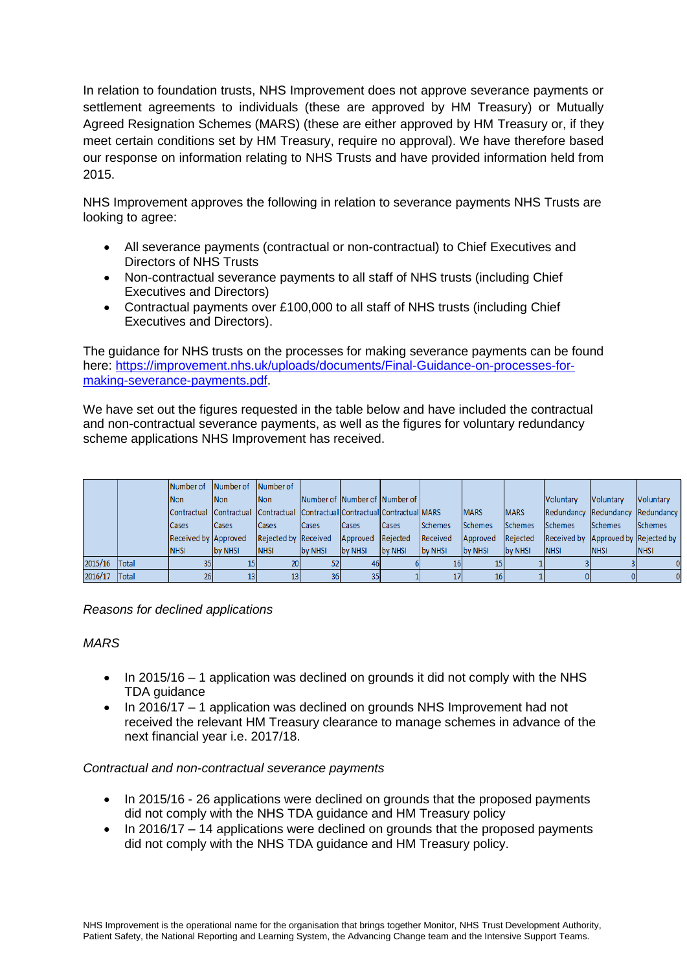In relation to foundation trusts, NHS Improvement does not approve severance payments or settlement agreements to individuals (these are approved by HM Treasury) or Mutually Agreed Resignation Schemes (MARS) (these are either approved by HM Treasury or, if they meet certain conditions set by HM Treasury, require no approval). We have therefore based our response on information relating to NHS Trusts and have provided information held from 2015.

NHS Improvement approves the following in relation to severance payments NHS Trusts are looking to agree:

- All severance payments (contractual or non-contractual) to Chief Executives and Directors of NHS Trusts
- Non-contractual severance payments to all staff of NHS trusts (including Chief Executives and Directors)
- Contractual payments over £100,000 to all staff of NHS trusts (including Chief Executives and Directors).

The guidance for NHS trusts on the processes for making severance payments can be found here: [https://improvement.nhs.uk/uploads/documents/Final-Guidance-on-processes-for](https://improvement.nhs.uk/uploads/documents/Final-Guidance-on-processes-for-making-severance-payments.pdf)[making-severance-payments.pdf.](https://improvement.nhs.uk/uploads/documents/Final-Guidance-on-processes-for-making-severance-payments.pdf)

We have set out the figures requested in the table below and have included the contractual and non-contractual severance payments, as well as the figures for voluntary redundancy scheme applications NHS Improvement has received.

|         |              | Number of            | Number of                                                                       | Number of            |                               |                   |              |                |                |             |                |                                     |                |
|---------|--------------|----------------------|---------------------------------------------------------------------------------|----------------------|-------------------------------|-------------------|--------------|----------------|----------------|-------------|----------------|-------------------------------------|----------------|
|         |              | Non                  | Non                                                                             | <b>Non</b>           | Number of Number of Number of |                   |              |                |                |             | Voluntary      | Voluntary                           | Voluntary      |
|         |              |                      | Contractual  Contractual  Contractual  Contractual Contractual Contractual MARS |                      |                               |                   |              |                | <b>MARS</b>    | <b>MARS</b> |                | Redundancy Redundancy Redundancy    |                |
|         |              | <b>Cases</b>         | <b>Cases</b>                                                                    | <b>Cases</b>         | Cases                         | Cases             | <b>Cases</b> | <b>Schemes</b> | <b>Schemes</b> | Schemes     | <b>Schemes</b> | Schemes                             | <b>Schemes</b> |
|         |              | Received by Approved |                                                                                 | Rejected by Received |                               | Approved Rejected |              | Received       | Approved       | Rejected    |                | Received by Approved by Rejected by |                |
|         |              | <b>NHSI</b>          | by NHSI                                                                         | <b>NHSI</b>          | by NHSI                       | by NHSI           | by NHSI      | by NHSI        | by NHSI        | by NHSI     | <b>NHSI</b>    | <b>NHSI</b>                         | <b>NHSI</b>    |
| 2015/16 | <b>Total</b> |                      |                                                                                 | 20                   | 52                            | 46                |              | 16             |                |             |                |                                     |                |
| 2016/17 | <b>Total</b> | 26 <sub>l</sub>      |                                                                                 | 13                   | 36                            | 35                |              | 17             |                |             |                |                                     |                |

*Reasons for declined applications*

### *MARS*

- $\bullet$  In 2015/16 1 application was declined on grounds it did not comply with the NHS TDA guidance
- In 2016/17 1 application was declined on grounds NHS Improvement had not received the relevant HM Treasury clearance to manage schemes in advance of the next financial year i.e. 2017/18.

### *Contractual and non-contractual severance payments*

- In 2015/16 26 applications were declined on grounds that the proposed payments did not comply with the NHS TDA guidance and HM Treasury policy
- $\bullet$  In 2016/17 14 applications were declined on grounds that the proposed payments did not comply with the NHS TDA guidance and HM Treasury policy.